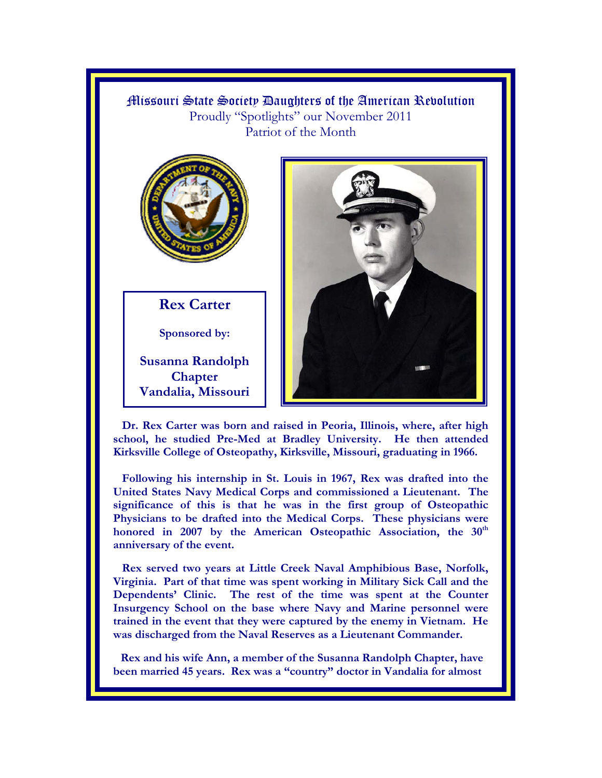## Missouri State Society Daughters of the American Revolution Proudly "Spotlights" our November 2011 Patriot of the Month



**Rex Carter** 

**Sponsored by:** 

**Susanna Randolph Chapter Vandalia, Missouri** 



 **Dr. Rex Carter was born and raised in Peoria, Illinois, where, after high school, he studied Pre-Med at Bradley University. He then attended Kirksville College of Osteopathy, Kirksville, Missouri, graduating in 1966.** 

 **Following his internship in St. Louis in 1967, Rex was drafted into the United States Navy Medical Corps and commissioned a Lieutenant. The significance of this is that he was in the first group of Osteopathic Physicians to be drafted into the Medical Corps. These physicians were**  honored in 2007 by the American Osteopathic Association, the 30<sup>th</sup> **anniversary of the event.** 

 **Rex served two years at Little Creek Naval Amphibious Base, Norfolk, Virginia. Part of that time was spent working in Military Sick Call and the Dependents' Clinic. The rest of the time was spent at the Counter Insurgency School on the base where Navy and Marine personnel were trained in the event that they were captured by the enemy in Vietnam. He was discharged from the Naval Reserves as a Lieutenant Commander.** 

 **Rex and his wife Ann, a member of the Susanna Randolph Chapter, have been married 45 years. Rex was a "country" doctor in Vandalia for almost**